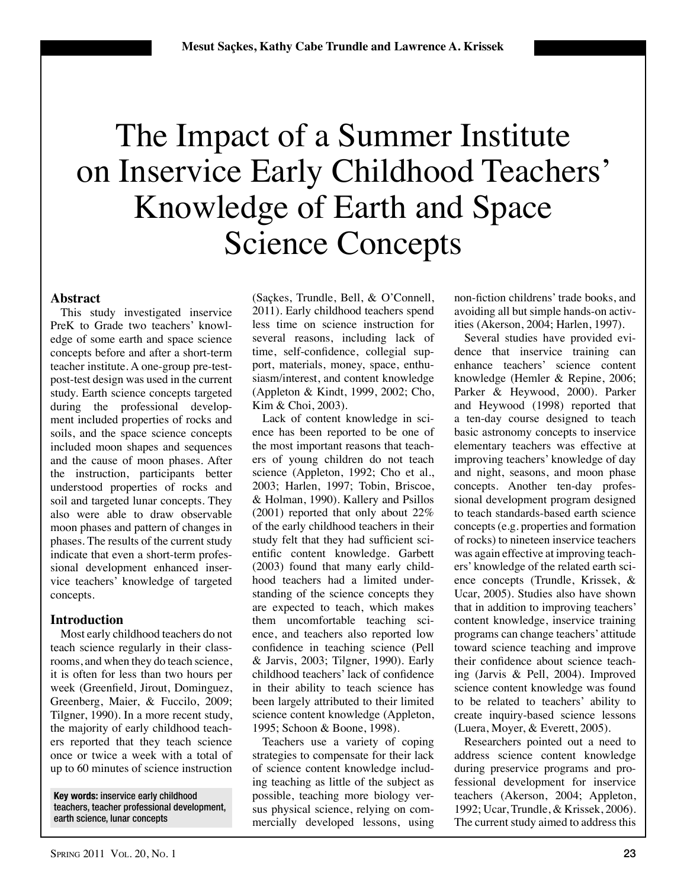# The Impact of a Summer Institute on Inservice Early Childhood Teachers' Knowledge of Earth and Space Science Concepts

## **Abstract**

This study investigated inservice PreK to Grade two teachers' knowledge of some earth and space science concepts before and after a short-term teacher institute. A one-group pre-testpost-test design was used in the current study. Earth science concepts targeted during the professional development included properties of rocks and soils, and the space science concepts included moon shapes and sequences and the cause of moon phases. After the instruction, participants better understood properties of rocks and soil and targeted lunar concepts. They also were able to draw observable moon phases and pattern of changes in phases. The results of the current study indicate that even a short-term professional development enhanced inservice teachers' knowledge of targeted concepts.

# **Introduction**

Most early childhood teachers do not teach science regularly in their classrooms, and when they do teach science, it is often for less than two hours per week (Greenfield, Jirout, Dominguez, Greenberg, Maier, & Fuccilo, 2009; Tilgner, 1990). In a more recent study, the majority of early childhood teachers reported that they teach science once or twice a week with a total of up to 60 minutes of science instruction

**Key words:** inservice early childhood teachers, teacher professional development, earth science, lunar concepts

(Saçkes, Trundle, Bell, & O'Connell, 2011). Early childhood teachers spend less time on science instruction for several reasons, including lack of time, self-confidence, collegial support, materials, money, space, enthusiasm/interest, and content knowledge (Appleton & Kindt, 1999, 2002; Cho, Kim & Choi, 2003).

Lack of content knowledge in science has been reported to be one of the most important reasons that teachers of young children do not teach science (Appleton, 1992; Cho et al., 2003; Harlen, 1997; Tobin, Briscoe, & Holman, 1990). Kallery and Psillos (2001) reported that only about 22% of the early childhood teachers in their study felt that they had sufficient scientific content knowledge. Garbett (2003) found that many early childhood teachers had a limited understanding of the science concepts they are expected to teach, which makes them uncomfortable teaching science, and teachers also reported low confidence in teaching science (Pell & Jarvis, 2003; Tilgner, 1990). Early childhood teachers' lack of confidence in their ability to teach science has been largely attributed to their limited science content knowledge (Appleton, 1995; Schoon & Boone, 1998).

Teachers use a variety of coping strategies to compensate for their lack of science content knowledge including teaching as little of the subject as possible, teaching more biology versus physical science, relying on commercially developed lessons, using

non-fiction childrens' trade books, and avoiding all but simple hands-on activities (Akerson, 2004; Harlen, 1997).

Several studies have provided evidence that inservice training can enhance teachers' science content knowledge (Hemler & Repine, 2006; Parker & Heywood, 2000). Parker and Heywood (1998) reported that a ten-day course designed to teach basic astronomy concepts to inservice elementary teachers was effective at improving teachers' knowledge of day and night, seasons, and moon phase concepts. Another ten-day professional development program designed to teach standards-based earth science concepts (e.g. properties and formation of rocks) to nineteen inservice teachers was again effective at improving teachers' knowledge of the related earth science concepts (Trundle, Krissek, & Ucar, 2005). Studies also have shown that in addition to improving teachers' content knowledge, inservice training programs can change teachers' attitude toward science teaching and improve their confidence about science teaching (Jarvis & Pell, 2004). Improved science content knowledge was found to be related to teachers' ability to create inquiry-based science lessons (Luera, Moyer, & Everett, 2005).

Researchers pointed out a need to address science content knowledge during preservice programs and professional development for inservice teachers (Akerson, 2004; Appleton, 1992; Ucar, Trundle, & Krissek, 2006). The current study aimed to address this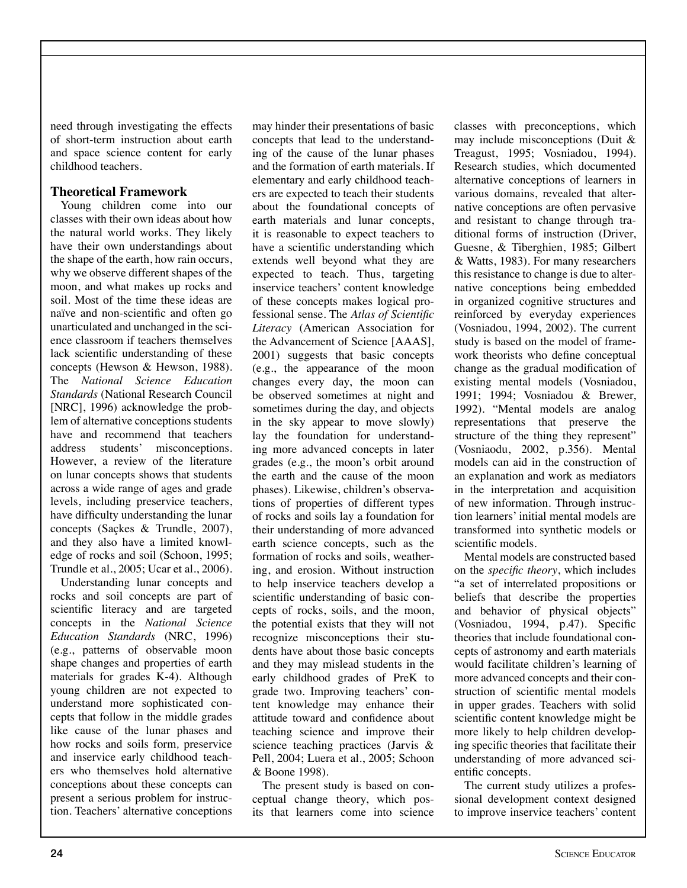need through investigating the effects of short-term instruction about earth and space science content for early childhood teachers.

# **Theoretical Framework**

Young children come into our classes with their own ideas about how the natural world works. They likely have their own understandings about the shape of the earth, how rain occurs, why we observe different shapes of the moon, and what makes up rocks and soil. Most of the time these ideas are naïve and non-scientific and often go unarticulated and unchanged in the science classroom if teachers themselves lack scientific understanding of these concepts (Hewson & Hewson, 1988). The *National Science Education Standards* (National Research Council [NRC], 1996) acknowledge the problem of alternative conceptions students have and recommend that teachers address students' misconceptions. However, a review of the literature on lunar concepts shows that students across a wide range of ages and grade levels, including preservice teachers, have difficulty understanding the lunar concepts (Saçkes & Trundle, 2007), and they also have a limited knowledge of rocks and soil (Schoon, 1995; Trundle et al., 2005; Ucar et al., 2006).

Understanding lunar concepts and rocks and soil concepts are part of scientific literacy and are targeted concepts in the *National Science Education Standards* (NRC, 1996) (e.g., patterns of observable moon shape changes and properties of earth materials for grades K-4)*.* Although young children are not expected to understand more sophisticated concepts that follow in the middle grades like cause of the lunar phases and how rocks and soils form*,* preservice and inservice early childhood teachers who themselves hold alternative conceptions about these concepts can present a serious problem for instruction. Teachers' alternative conceptions

may hinder their presentations of basic concepts that lead to the understanding of the cause of the lunar phases and the formation of earth materials. If elementary and early childhood teachers are expected to teach their students about the foundational concepts of earth materials and lunar concepts, it is reasonable to expect teachers to have a scientific understanding which extends well beyond what they are expected to teach. Thus, targeting inservice teachers' content knowledge of these concepts makes logical professional sense. The *Atlas of Scientific Literacy* (American Association for the Advancement of Science [AAAS], 2001) suggests that basic concepts (e.g., the appearance of the moon changes every day, the moon can be observed sometimes at night and sometimes during the day, and objects in the sky appear to move slowly) lay the foundation for understanding more advanced concepts in later grades (e.g., the moon's orbit around the earth and the cause of the moon phases). Likewise, children's observations of properties of different types of rocks and soils lay a foundation for their understanding of more advanced earth science concepts, such as the formation of rocks and soils, weathering, and erosion. Without instruction to help inservice teachers develop a scientific understanding of basic concepts of rocks, soils, and the moon, the potential exists that they will not recognize misconceptions their students have about those basic concepts and they may mislead students in the early childhood grades of PreK to grade two. Improving teachers' content knowledge may enhance their attitude toward and confidence about teaching science and improve their science teaching practices (Jarvis & Pell, 2004; Luera et al., 2005; Schoon & Boone 1998).

The present study is based on conceptual change theory, which posits that learners come into science classes with preconceptions, which may include misconceptions (Duit & Treagust, 1995; Vosniadou, 1994). Research studies, which documented alternative conceptions of learners in various domains, revealed that alternative conceptions are often pervasive and resistant to change through traditional forms of instruction (Driver, Guesne, & Tiberghien, 1985; Gilbert & Watts, 1983). For many researchers this resistance to change is due to alternative conceptions being embedded in organized cognitive structures and reinforced by everyday experiences (Vosniadou, 1994, 2002). The current study is based on the model of framework theorists who define conceptual change as the gradual modification of existing mental models (Vosniadou, 1991; 1994; Vosniadou & Brewer, 1992). "Mental models are analog representations that preserve the structure of the thing they represent" (Vosniaodu, 2002, p.356). Mental models can aid in the construction of an explanation and work as mediators in the interpretation and acquisition of new information. Through instruction learners' initial mental models are transformed into synthetic models or scientific models.

Mental models are constructed based on the *specific theory*, which includes "a set of interrelated propositions or beliefs that describe the properties and behavior of physical objects" (Vosniadou, 1994, p.47). Specific theories that include foundational concepts of astronomy and earth materials would facilitate children's learning of more advanced concepts and their construction of scientific mental models in upper grades. Teachers with solid scientific content knowledge might be more likely to help children developing specific theories that facilitate their understanding of more advanced scientific concepts.

The current study utilizes a professional development context designed to improve inservice teachers' content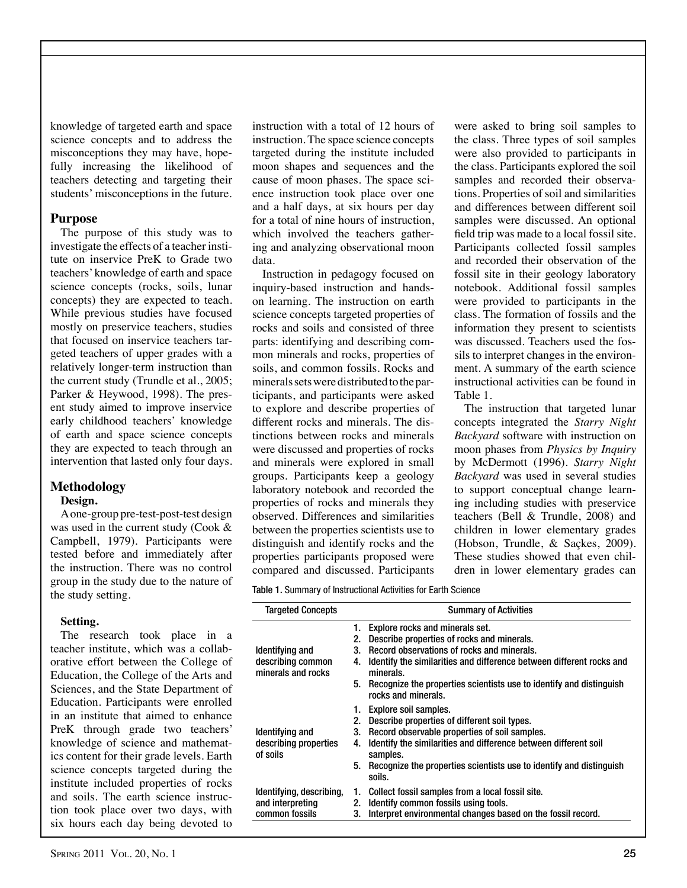knowledge of targeted earth and space science concepts and to address the misconceptions they may have, hopefully increasing the likelihood of teachers detecting and targeting their students' misconceptions in the future.

## **Purpose**

The purpose of this study was to investigate the effects of a teacher institute on inservice PreK to Grade two teachers' knowledge of earth and space science concepts (rocks, soils, lunar concepts) they are expected to teach. While previous studies have focused mostly on preservice teachers, studies that focused on inservice teachers targeted teachers of upper grades with a relatively longer-term instruction than the current study (Trundle et al., 2005; Parker & Heywood, 1998). The present study aimed to improve inservice early childhood teachers' knowledge of earth and space science concepts they are expected to teach through an intervention that lasted only four days.

# **Methodology**

#### **Design.**

A one-group pre-test-post-test design was used in the current study (Cook & Campbell, 1979). Participants were tested before and immediately after the instruction. There was no control group in the study due to the nature of the study setting.

## **Setting.**

The research took place in a teacher institute, which was a collaborative effort between the College of Education, the College of the Arts and Sciences, and the State Department of Education. Participants were enrolled in an institute that aimed to enhance PreK through grade two teachers' knowledge of science and mathematics content for their grade levels. Earth science concepts targeted during the institute included properties of rocks and soils. The earth science instruction took place over two days, with six hours each day being devoted to

instruction with a total of 12 hours of instruction. The space science concepts targeted during the institute included moon shapes and sequences and the cause of moon phases. The space science instruction took place over one and a half days, at six hours per day for a total of nine hours of instruction, which involved the teachers gathering and analyzing observational moon data.

Instruction in pedagogy focused on inquiry-based instruction and handson learning. The instruction on earth science concepts targeted properties of rocks and soils and consisted of three parts: identifying and describing common minerals and rocks, properties of soils, and common fossils. Rocks and minerals sets were distributed to the participants, and participants were asked to explore and describe properties of different rocks and minerals. The distinctions between rocks and minerals were discussed and properties of rocks and minerals were explored in small groups. Participants keep a geology laboratory notebook and recorded the properties of rocks and minerals they observed. Differences and similarities between the properties scientists use to distinguish and identify rocks and the properties participants proposed were compared and discussed. Participants

were asked to bring soil samples to the class. Three types of soil samples were also provided to participants in the class. Participants explored the soil samples and recorded their observations. Properties of soil and similarities and differences between different soil samples were discussed. An optional field trip was made to a local fossil site. Participants collected fossil samples and recorded their observation of the fossil site in their geology laboratory notebook. Additional fossil samples were provided to participants in the class. The formation of fossils and the information they present to scientists was discussed. Teachers used the fossils to interpret changes in the environment. A summary of the earth science instructional activities can be found in Table 1.

The instruction that targeted lunar concepts integrated the *Starry Night Backyard* software with instruction on moon phases from *Physics by Inquiry*  by McDermott (1996). *Starry Night Backyard* was used in several studies to support conceptual change learning including studies with preservice teachers (Bell & Trundle, 2008) and children in lower elementary grades (Hobson, Trundle, & Saçkes, 2009). These studies showed that even children in lower elementary grades can

Table 1. Summary of Instructional Activities for Earth Science

| <b>Targeted Concepts</b>                                       | <b>Summary of Activities</b>                                                                     |  |  |  |
|----------------------------------------------------------------|--------------------------------------------------------------------------------------------------|--|--|--|
|                                                                | 1. Explore rocks and minerals set.                                                               |  |  |  |
|                                                                | Describe properties of rocks and minerals.<br>2.                                                 |  |  |  |
| Identifying and<br>describing common<br>minerals and rocks     | Record observations of rocks and minerals.<br>3.                                                 |  |  |  |
|                                                                | Identify the similarities and difference between different rocks and<br>4.<br>minerals.          |  |  |  |
|                                                                | Recognize the properties scientists use to identify and distinguish<br>5.<br>rocks and minerals. |  |  |  |
| Identifying and<br>describing properties<br>of soils           | 1. Explore soil samples.                                                                         |  |  |  |
|                                                                | Describe properties of different soil types.<br>2.                                               |  |  |  |
|                                                                | Record observable properties of soil samples.<br>3.                                              |  |  |  |
|                                                                | Identify the similarities and difference between different soil<br>4.<br>samples.                |  |  |  |
|                                                                | Recognize the properties scientists use to identify and distinguish<br>5.<br>soils.              |  |  |  |
| Identifying, describing,<br>and interpreting<br>common fossils | Collect fossil samples from a local fossil site.<br>1.                                           |  |  |  |
|                                                                | Identify common fossils using tools.<br>2.                                                       |  |  |  |
|                                                                | Interpret environmental changes based on the fossil record.<br>3.                                |  |  |  |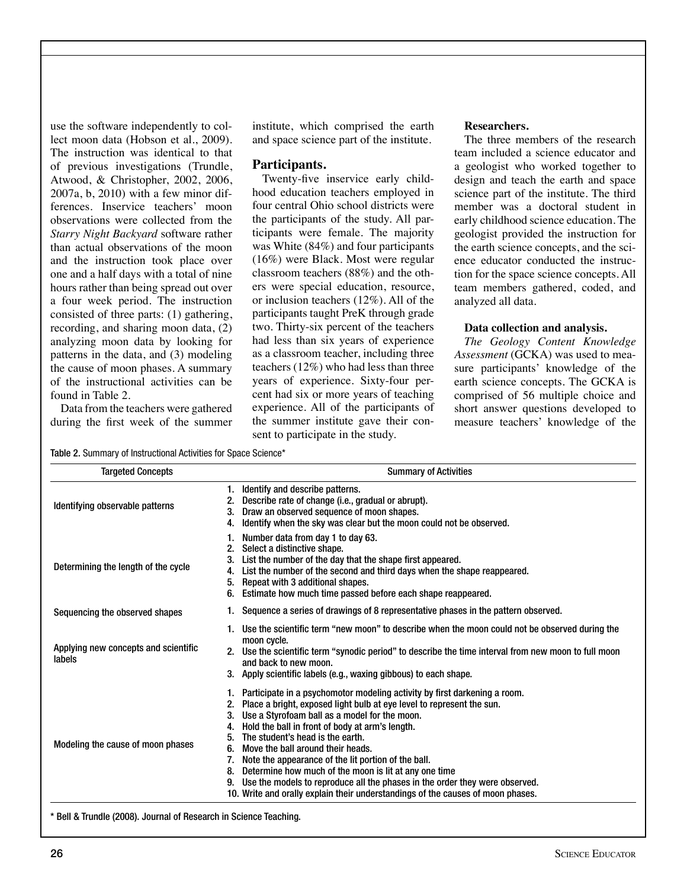use the software independently to collect moon data (Hobson et al., 2009). The instruction was identical to that of previous investigations (Trundle, Atwood, & Christopher, 2002, 2006, 2007a, b, 2010) with a few minor differences. Inservice teachers' moon observations were collected from the *Starry Night Backyard* software rather than actual observations of the moon and the instruction took place over one and a half days with a total of nine hours rather than being spread out over a four week period. The instruction consisted of three parts: (1) gathering, recording, and sharing moon data, (2) analyzing moon data by looking for patterns in the data, and (3) modeling the cause of moon phases. A summary of the instructional activities can be found in Table 2.

Data from the teachers were gathered during the first week of the summer institute, which comprised the earth and space science part of the institute.

# **Participants.**

Twenty-five inservice early childhood education teachers employed in four central Ohio school districts were the participants of the study. All participants were female. The majority was White (84%) and four participants (16%) were Black. Most were regular classroom teachers (88%) and the others were special education, resource, or inclusion teachers (12%). All of the participants taught PreK through grade two. Thirty-six percent of the teachers had less than six years of experience as a classroom teacher, including three teachers (12%) who had less than three years of experience. Sixty-four percent had six or more years of teaching experience. All of the participants of the summer institute gave their consent to participate in the study.

#### **Researchers.**

The three members of the research team included a science educator and a geologist who worked together to design and teach the earth and space science part of the institute. The third member was a doctoral student in early childhood science education. The geologist provided the instruction for the earth science concepts, and the science educator conducted the instruction for the space science concepts. All team members gathered, coded, and analyzed all data.

## **Data collection and analysis.**

*The Geology Content Knowledge Assessment* (GCKA) was used to measure participants' knowledge of the earth science concepts. The GCKA is comprised of 56 multiple choice and short answer questions developed to measure teachers' knowledge of the

Table 2. Summary of Instructional Activities for Space Science\*

| <b>Targeted Concepts</b>                       | <b>Summary of Activities</b>                                                                                                                                                                                                                                                                                                                                                                                                                                                                                                                                                                                                                       |  |  |
|------------------------------------------------|----------------------------------------------------------------------------------------------------------------------------------------------------------------------------------------------------------------------------------------------------------------------------------------------------------------------------------------------------------------------------------------------------------------------------------------------------------------------------------------------------------------------------------------------------------------------------------------------------------------------------------------------------|--|--|
| Identifying observable patterns                | Identify and describe patterns.<br>1.<br>Describe rate of change (i.e., gradual or abrupt).<br>Draw an observed sequence of moon shapes.<br>Identify when the sky was clear but the moon could not be observed.<br>4.                                                                                                                                                                                                                                                                                                                                                                                                                              |  |  |
| Determining the length of the cycle            | Number data from day 1 to day 63.<br>Select a distinctive shape.<br>List the number of the day that the shape first appeared.<br>3.<br>List the number of the second and third days when the shape reappeared.<br>4.<br>Repeat with 3 additional shapes.<br>5.<br>Estimate how much time passed before each shape reappeared.<br>6.                                                                                                                                                                                                                                                                                                                |  |  |
| Sequencing the observed shapes                 | Sequence a series of drawings of 8 representative phases in the pattern observed.                                                                                                                                                                                                                                                                                                                                                                                                                                                                                                                                                                  |  |  |
| Applying new concepts and scientific<br>labels | Use the scientific term "new moon" to describe when the moon could not be observed during the<br>moon cycle.<br>2. Use the scientific term "synodic period" to describe the time interval from new moon to full moon<br>and back to new moon.<br>3. Apply scientific labels (e.g., waxing gibbous) to each shape.                                                                                                                                                                                                                                                                                                                                  |  |  |
| Modeling the cause of moon phases              | 1. Participate in a psychomotor modeling activity by first darkening a room.<br>Place a bright, exposed light bulb at eye level to represent the sun.<br>Use a Styrofoam ball as a model for the moon.<br>3.<br>Hold the ball in front of body at arm's length.<br>4.<br>The student's head is the earth.<br>5.<br>Move the ball around their heads.<br>6.<br>Note the appearance of the lit portion of the ball.<br>Determine how much of the moon is lit at any one time<br>8.<br>Use the models to reproduce all the phases in the order they were observed.<br>10. Write and orally explain their understandings of the causes of moon phases. |  |  |

\* Bell & Trundle (2008). Journal of Research in Science Teaching.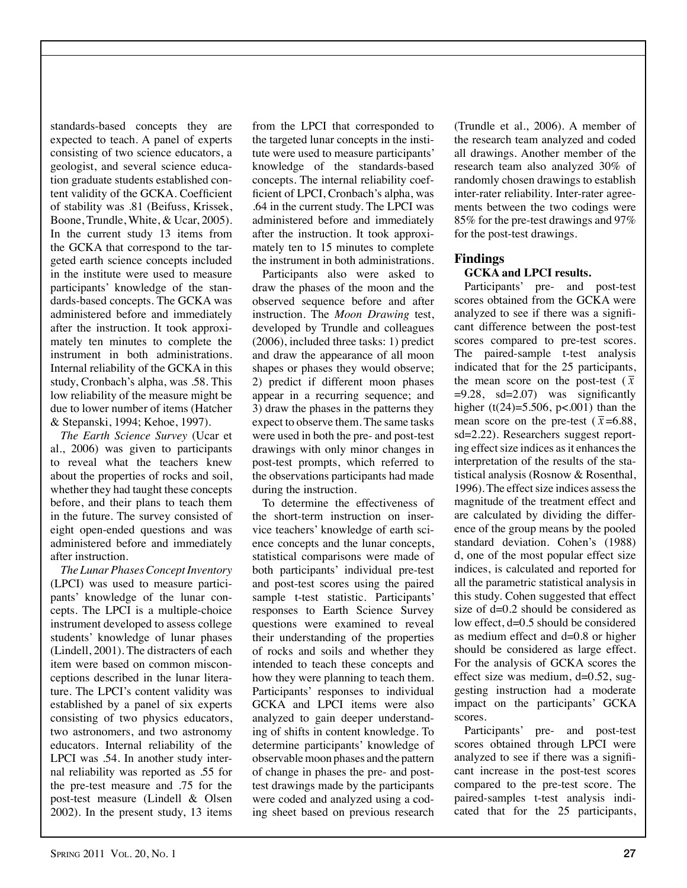standards-based concepts they are expected to teach. A panel of experts consisting of two science educators, a geologist, and several science education graduate students established content validity of the GCKA. Coefficient of stability was .81 (Beifuss, Krissek, Boone, Trundle, White, & Ucar, 2005). In the current study 13 items from the GCKA that correspond to the targeted earth science concepts included in the institute were used to measure participants' knowledge of the standards-based concepts. The GCKA was administered before and immediately after the instruction. It took approximately ten minutes to complete the instrument in both administrations. Internal reliability of the GCKA in this study, Cronbach's alpha, was .58. This low reliability of the measure might be due to lower number of items (Hatcher & Stepanski, 1994; Kehoe, 1997).

*The Earth Science Survey* (Ucar et al., 2006) was given to participants to reveal what the teachers knew about the properties of rocks and soil, whether they had taught these concepts before, and their plans to teach them in the future. The survey consisted of eight open-ended questions and was administered before and immediately after instruction.

*The Lunar Phases Concept Inventory* (LPCI) was used to measure participants' knowledge of the lunar concepts. The LPCI is a multiple-choice instrument developed to assess college students' knowledge of lunar phases (Lindell, 2001). The distracters of each item were based on common misconceptions described in the lunar literature. The LPCI's content validity was established by a panel of six experts consisting of two physics educators, two astronomers, and two astronomy educators. Internal reliability of the LPCI was .54. In another study internal reliability was reported as .55 for the pre-test measure and .75 for the post-test measure (Lindell & Olsen 2002). In the present study, 13 items

from the LPCI that corresponded to the targeted lunar concepts in the institute were used to measure participants' knowledge of the standards-based concepts. The internal reliability coefficient of LPCI, Cronbach's alpha, was .64 in the current study. The LPCI was administered before and immediately after the instruction. It took approximately ten to 15 minutes to complete the instrument in both administrations.

Participants also were asked to draw the phases of the moon and the observed sequence before and after instruction. The *Moon Drawing* test, developed by Trundle and colleagues (2006), included three tasks: 1) predict and draw the appearance of all moon shapes or phases they would observe; 2) predict if different moon phases appear in a recurring sequence; and 3) draw the phases in the patterns they expect to observe them. The same tasks were used in both the pre- and post-test drawings with only minor changes in post-test prompts, which referred to the observations participants had made during the instruction.

To determine the effectiveness of the short-term instruction on inservice teachers' knowledge of earth science concepts and the lunar concepts, statistical comparisons were made of both participants' individual pre-test and post-test scores using the paired sample t-test statistic. Participants' responses to Earth Science Survey questions were examined to reveal their understanding of the properties of rocks and soils and whether they intended to teach these concepts and how they were planning to teach them. Participants' responses to individual GCKA and LPCI items were also analyzed to gain deeper understanding of shifts in content knowledge. To determine participants' knowledge of observable moon phases and the pattern of change in phases the pre- and posttest drawings made by the participants were coded and analyzed using a coding sheet based on previous research

(Trundle et al., 2006). A member of the research team analyzed and coded all drawings. Another member of the research team also analyzed 30% of randomly chosen drawings to establish inter-rater reliability. Inter-rater agreements between the two codings were 85% for the pre-test drawings and 97% for the post-test drawings.

# **Findings**

# **GCKA and LPCI results.**

Participants' pre- and post-test scores obtained from the GCKA were analyzed to see if there was a significant difference between the post-test scores compared to pre-test scores. The paired-sample t-test analysis indicated that for the 25 participants, the mean score on the post-test  $(\bar{x})$ � sd=2.22). Researchers suggest report-=9.28, sd=2.07) was significantly higher  $(t(24)=5.506, p<.001)$  than the mean score on the pre-test  $(\bar{x}=6.88,$ � tistical analysis (Rosnow & Rosenthal, ing effect size indices as it enhances the interpretation of the results of the sta-1996). The effect size indices assess the magnitude of the treatment effect and are calculated by dividing the difference of the group means by the pooled standard deviation. Cohen's (1988) d, one of the most popular effect size indices, is calculated and reported for all the parametric statistical analysis in this study. Cohen suggested that effect size of d=0.2 should be considered as low effect, d=0.5 should be considered as medium effect and d=0.8 or higher should be considered as large effect. For the analysis of GCKA scores the effect size was medium,  $d=0.52$ , suggesting instruction had a moderate impact on the participants' GCKA scores.

Participants' pre- and post-test scores obtained through LPCI were analyzed to see if there was a significant increase in the post-test scores compared to the pre-test score. The paired-samples t-test analysis indicated that for the 25 participants,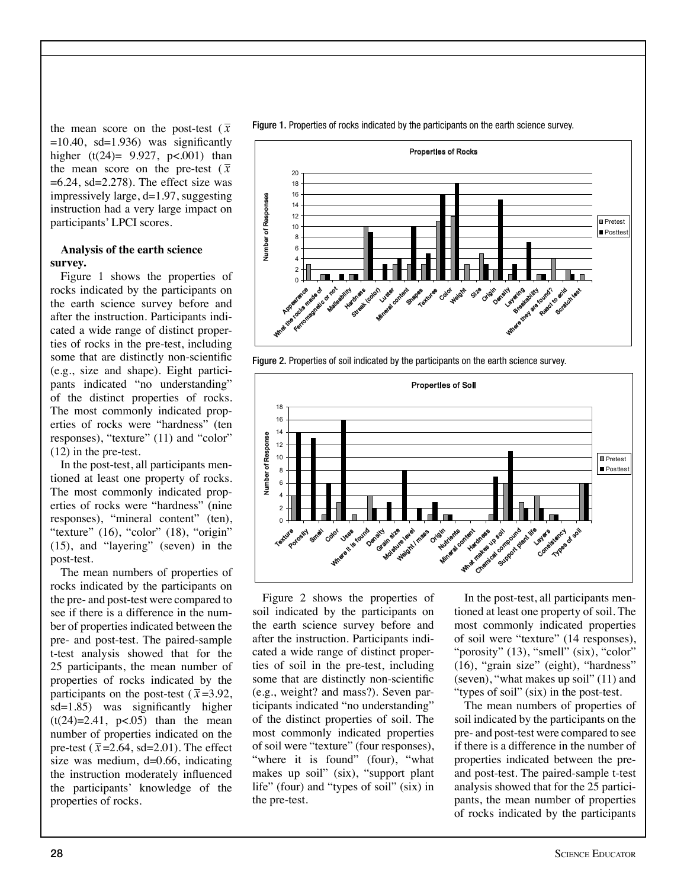the mean score on the post-test  $(\bar{x})$ � =6.24, sd=2.278). The effect size was  $=10.40$ , sd $=1.936$ ) was significantly higher  $(t(24)= 9.927, p<.001)$  than the mean score on the pre-test  $(\bar{x})$ impressively large, d=1.97, suggesting instruction had a very large impact on participants' LPCI scores.

## **Analysis of the earth science survey.**

Figure 1 shows the properties of rocks indicated by the participants on the earth science survey before and after the instruction. Participants indicated a wide range of distinct properties of rocks in the pre-test, including some that are distinctly non-scientific (e.g., size and shape). Eight participants indicated "no understanding" of the distinct properties of rocks. The most commonly indicated properties of rocks were "hardness" (ten responses), "texture" (11) and "color" (12) in the pre-test.

In the post-test, all participants mentioned at least one property of rocks. The most commonly indicated properties of rocks were "hardness" (nine responses), "mineral content" (ten), "texture" (16), "color" (18), "origin" (15), and "layering" (seven) in the post-test.

The mean numbers of properties of rocks indicated by the participants on the pre- and post-test were compared to see if there is a difference in the number of properties indicated between the pre- and post-test. The paired-sample t-test analysis showed that for the 25 participants, the mean number of properties of rocks indicated by the participants on the post-test ( $\bar{x}$ =3.92, pre-test  $(\bar{x} = 2.64, \text{ sd} = 2.01)$ . The effect sd=1.85) was significantly higher  $(t(24)=2.41, p<0.05)$  than the mean number of properties indicated on the properties of rocks. size was medium,  $d=0.66$ , indicating the instruction moderately influenced the participants' knowledge of the

Figure 1. Properties of rocks indicated by the participants on the earth science survey.



Figure 2. Properties of soil indicated by the participants on the earth science survey.



Figure 2 shows the properties of soil indicated by the participants on the earth science survey before and after the instruction. Participants indicated a wide range of distinct properties of soil in the pre-test, including some that are distinctly non-scientific (e.g., weight? and mass?). Seven participants indicated "no understanding" of the distinct properties of soil. The most commonly indicated properties of soil were "texture" (four responses), "where it is found" (four), "what makes up soil" (six), "support plant life" (four) and "types of soil" (six) in the pre-test.

In the post-test, all participants mentioned at least one property of soil. The most commonly indicated properties of soil were "texture" (14 responses), "porosity" (13), "smell" (six), "color" (16), "grain size" (eight), "hardness" (seven), "what makes up soil" (11) and "types of soil" (six) in the post-test.

The mean numbers of properties of soil indicated by the participants on the pre- and post-test were compared to see if there is a difference in the number of properties indicated between the preand post-test. The paired-sample t-test analysis showed that for the 25 participants, the mean number of properties of rocks indicated by the participants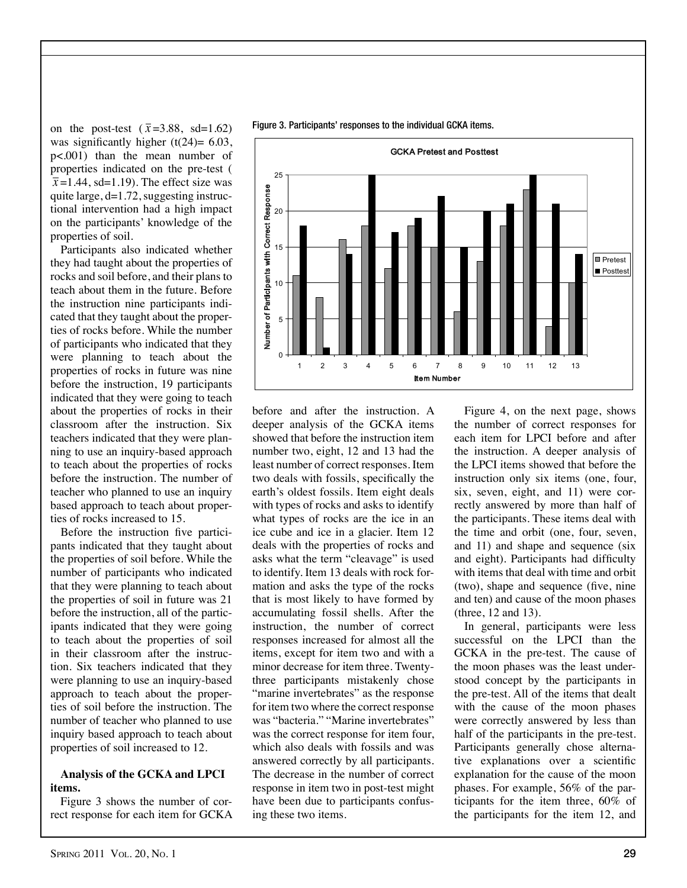on the post-test  $(\bar{x}=3.88, \text{ sd}=1.62)$  $\overline{x}$ =1.44, sd=1.19). The effect size was was significantly higher  $(t(24)= 6.03)$ , p<.001) than the mean number of properties indicated on the pre-test ( quite large, d=1.72, suggesting instructional intervention had a high impact on the participants' knowledge of the properties of soil.

Participants also indicated whether they had taught about the properties of rocks and soil before, and their plans to teach about them in the future. Before the instruction nine participants indicated that they taught about the properties of rocks before. While the number of participants who indicated that they were planning to teach about the properties of rocks in future was nine before the instruction, 19 participants indicated that they were going to teach about the properties of rocks in their classroom after the instruction. Six teachers indicated that they were planning to use an inquiry-based approach to teach about the properties of rocks before the instruction. The number of teacher who planned to use an inquiry based approach to teach about properties of rocks increased to 15.

Before the instruction five participants indicated that they taught about the properties of soil before. While the number of participants who indicated that they were planning to teach about the properties of soil in future was 21 before the instruction, all of the participants indicated that they were going to teach about the properties of soil in their classroom after the instruction. Six teachers indicated that they were planning to use an inquiry-based approach to teach about the properties of soil before the instruction. The number of teacher who planned to use inquiry based approach to teach about properties of soil increased to 12.

#### **Analysis of the GCKA and LPCI items.**

Figure 3 shows the number of correct response for each item for GCKA before and after the instruction. A deeper analysis of the GCKA items showed that before the instruction item number two, eight, 12 and 13 had the least number of correct responses. Item two deals with fossils, specifically the earth's oldest fossils. Item eight deals with types of rocks and asks to identify what types of rocks are the ice in an ice cube and ice in a glacier. Item 12 deals with the properties of rocks and asks what the term "cleavage" is used to identify. Item 13 deals with rock formation and asks the type of the rocks that is most likely to have formed by accumulating fossil shells. After the instruction, the number of correct responses increased for almost all the items, except for item two and with a minor decrease for item three. Twentythree participants mistakenly chose "marine invertebrates" as the response for item two where the correct response was "bacteria." "Marine invertebrates" was the correct response for item four, which also deals with fossils and was answered correctly by all participants. The decrease in the number of correct response in item two in post-test might have been due to participants confusing these two items.

Figure 4, on the next page, shows the number of correct responses for each item for LPCI before and after the instruction. A deeper analysis of the LPCI items showed that before the instruction only six items (one, four, six, seven, eight, and 11) were correctly answered by more than half of the participants. These items deal with the time and orbit (one, four, seven, and 11) and shape and sequence (six and eight). Participants had difficulty with items that deal with time and orbit (two), shape and sequence (five, nine and ten) and cause of the moon phases (three, 12 and 13).

In general, participants were less successful on the LPCI than the GCKA in the pre-test. The cause of the moon phases was the least understood concept by the participants in the pre-test. All of the items that dealt with the cause of the moon phases were correctly answered by less than half of the participants in the pre-test. Participants generally chose alternative explanations over a scientific explanation for the cause of the moon phases. For example, 56% of the participants for the item three, 60% of the participants for the item 12, and

GCKA Pretest and Posttest 15 20 25



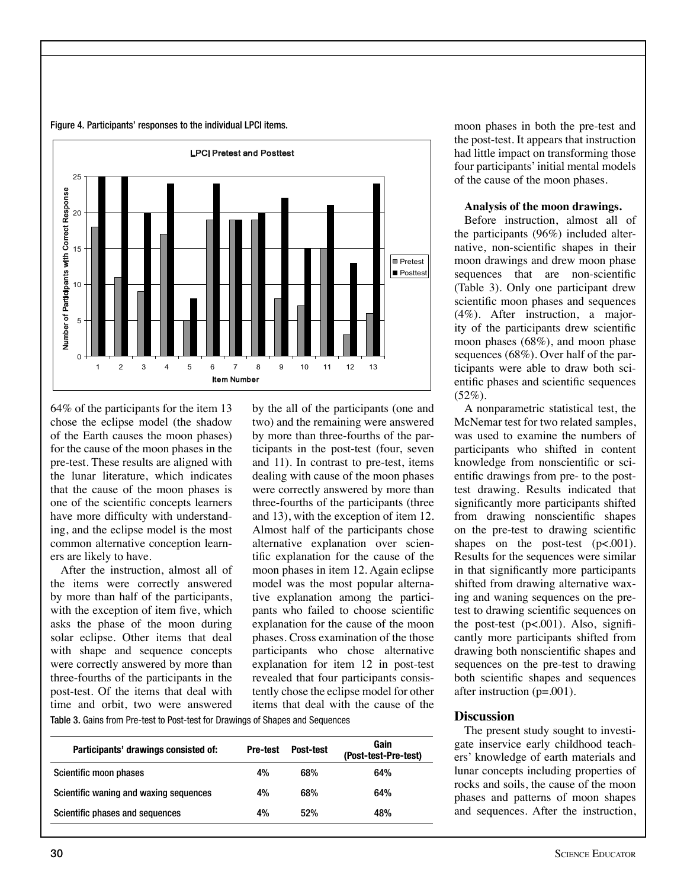



64% of the participants for the item 13 chose the eclipse model (the shadow of the Earth causes the moon phases) for the cause of the moon phases in the pre-test. These results are aligned with the lunar literature, which indicates that the cause of the moon phases is one of the scientific concepts learners have more difficulty with understanding, and the eclipse model is the most common alternative conception learners are likely to have.

After the instruction, almost all of the items were correctly answered by more than half of the participants, with the exception of item five, which asks the phase of the moon during solar eclipse. Other items that deal with shape and sequence concepts were correctly answered by more than three-fourths of the participants in the post-test. Of the items that deal with time and orbit, two were answered

by the all of the participants (one and two) and the remaining were answered by more than three-fourths of the participants in the post-test (four, seven and 11). In contrast to pre-test, items dealing with cause of the moon phases were correctly answered by more than three-fourths of the participants (three and 13), with the exception of item 12. Almost half of the participants chose alternative explanation over scientific explanation for the cause of the moon phases in item 12. Again eclipse model was the most popular alternative explanation among the participants who failed to choose scientific explanation for the cause of the moon phases. Cross examination of the those participants who chose alternative explanation for item 12 in post-test revealed that four participants consistently chose the eclipse model for other items that deal with the cause of the

Table 3. Gains from Pre-test to Post-test for Drawings of Shapes and Sequences

| Participants' drawings consisted of:   | <b>Pre-test</b> | Post-test | Gain<br>(Post-test-Pre-test) |
|----------------------------------------|-----------------|-----------|------------------------------|
| Scientific moon phases                 | 4%              | 68%       | 64%                          |
| Scientific waning and waxing sequences | 4%              | 68%       | 64%                          |
| Scientific phases and sequences        | 4%              | 52%       | 48%                          |

moon phases in both the pre-test and the post-test. It appears that instruction had little impact on transforming those four participants' initial mental models of the cause of the moon phases.

#### **Analysis of the moon drawings.**

Before instruction, almost all of the participants (96%) included alternative, non-scientific shapes in their moon drawings and drew moon phase sequences that are non-scientific (Table 3). Only one participant drew scientific moon phases and sequences (4%). After instruction, a majority of the participants drew scientific moon phases (68%), and moon phase sequences (68%). Over half of the participants were able to draw both scientific phases and scientific sequences  $(52\%).$ 

A nonparametric statistical test, the McNemar test for two related samples, was used to examine the numbers of participants who shifted in content knowledge from nonscientific or scientific drawings from pre- to the posttest drawing. Results indicated that significantly more participants shifted from drawing nonscientific shapes on the pre-test to drawing scientific shapes on the post-test  $(p<.001)$ . Results for the sequences were similar in that significantly more participants shifted from drawing alternative waxing and waning sequences on the pretest to drawing scientific sequences on the post-test  $(p<.001)$ . Also, significantly more participants shifted from drawing both nonscientific shapes and sequences on the pre-test to drawing both scientific shapes and sequences after instruction  $(p=001)$ .

## **Discussion**

The present study sought to investigate inservice early childhood teachers' knowledge of earth materials and lunar concepts including properties of rocks and soils, the cause of the moon phases and patterns of moon shapes and sequences. After the instruction,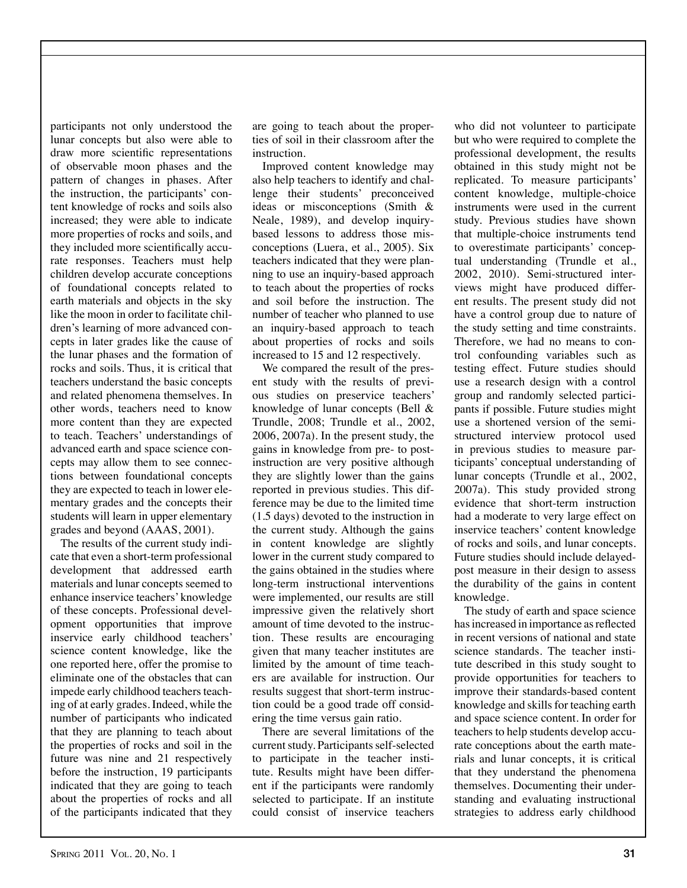participants not only understood the lunar concepts but also were able to draw more scientific representations of observable moon phases and the pattern of changes in phases. After the instruction, the participants' content knowledge of rocks and soils also increased; they were able to indicate more properties of rocks and soils, and they included more scientifically accurate responses. Teachers must help children develop accurate conceptions of foundational concepts related to earth materials and objects in the sky like the moon in order to facilitate children's learning of more advanced concepts in later grades like the cause of the lunar phases and the formation of rocks and soils. Thus, it is critical that teachers understand the basic concepts and related phenomena themselves. In other words, teachers need to know more content than they are expected to teach. Teachers' understandings of advanced earth and space science concepts may allow them to see connections between foundational concepts they are expected to teach in lower elementary grades and the concepts their students will learn in upper elementary grades and beyond (AAAS, 2001).

The results of the current study indicate that even a short-term professional development that addressed earth materials and lunar concepts seemed to enhance inservice teachers' knowledge of these concepts. Professional development opportunities that improve inservice early childhood teachers' science content knowledge, like the one reported here, offer the promise to eliminate one of the obstacles that can impede early childhood teachers teaching of at early grades. Indeed, while the number of participants who indicated that they are planning to teach about the properties of rocks and soil in the future was nine and 21 respectively before the instruction, 19 participants indicated that they are going to teach about the properties of rocks and all of the participants indicated that they

are going to teach about the properties of soil in their classroom after the instruction.

Improved content knowledge may also help teachers to identify and challenge their students' preconceived ideas or misconceptions (Smith & Neale, 1989), and develop inquirybased lessons to address those misconceptions (Luera, et al., 2005). Six teachers indicated that they were planning to use an inquiry-based approach to teach about the properties of rocks and soil before the instruction. The number of teacher who planned to use an inquiry-based approach to teach about properties of rocks and soils increased to 15 and 12 respectively.

We compared the result of the present study with the results of previous studies on preservice teachers' knowledge of lunar concepts (Bell & Trundle, 2008; Trundle et al., 2002, 2006, 2007a). In the present study, the gains in knowledge from pre- to postinstruction are very positive although they are slightly lower than the gains reported in previous studies. This difference may be due to the limited time (1.5 days) devoted to the instruction in the current study. Although the gains in content knowledge are slightly lower in the current study compared to the gains obtained in the studies where long-term instructional interventions were implemented, our results are still impressive given the relatively short amount of time devoted to the instruction. These results are encouraging given that many teacher institutes are limited by the amount of time teachers are available for instruction. Our results suggest that short-term instruction could be a good trade off considering the time versus gain ratio.

There are several limitations of the current study. Participants self-selected to participate in the teacher institute. Results might have been different if the participants were randomly selected to participate. If an institute could consist of inservice teachers

who did not volunteer to participate but who were required to complete the professional development, the results obtained in this study might not be replicated. To measure participants' content knowledge, multiple-choice instruments were used in the current study. Previous studies have shown that multiple-choice instruments tend to overestimate participants' conceptual understanding (Trundle et al., 2002, 2010). Semi-structured interviews might have produced different results. The present study did not have a control group due to nature of the study setting and time constraints. Therefore, we had no means to control confounding variables such as testing effect. Future studies should use a research design with a control group and randomly selected participants if possible. Future studies might use a shortened version of the semistructured interview protocol used in previous studies to measure participants' conceptual understanding of lunar concepts (Trundle et al., 2002, 2007a). This study provided strong evidence that short-term instruction had a moderate to very large effect on inservice teachers' content knowledge of rocks and soils, and lunar concepts. Future studies should include delayedpost measure in their design to assess the durability of the gains in content knowledge.

The study of earth and space science has increased in importance as reflected in recent versions of national and state science standards. The teacher institute described in this study sought to provide opportunities for teachers to improve their standards-based content knowledge and skills for teaching earth and space science content. In order for teachers to help students develop accurate conceptions about the earth materials and lunar concepts, it is critical that they understand the phenomena themselves. Documenting their understanding and evaluating instructional strategies to address early childhood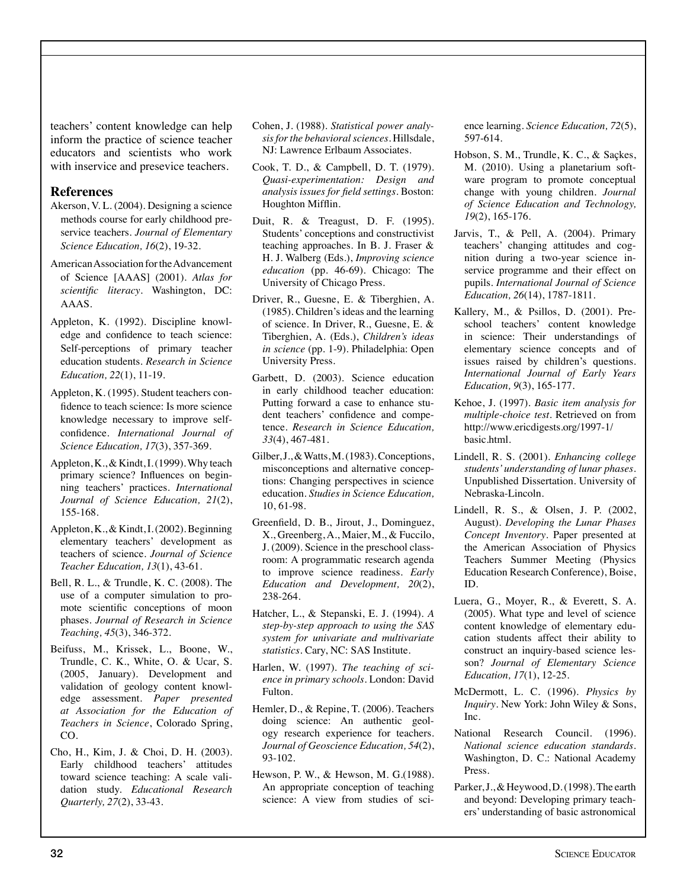teachers' content knowledge can help inform the practice of science teacher educators and scientists who work with inservice and presevice teachers.

## **References**

- Akerson, V. L. (2004). Designing a science methods course for early childhood preservice teachers. *Journal of Elementary Science Education, 16*(2), 19-32.
- American Association for the Advancement of Science [AAAS] (2001). *Atlas for scientific literacy*. Washington, DC: AAAS.
- Appleton, K. (1992). Discipline knowledge and confidence to teach science: Self-perceptions of primary teacher education students. *Research in Science Education, 22*(1), 11-19.
- Appleton, K. (1995). Student teachers confidence to teach science: Is more science knowledge necessary to improve selfconfidence. *International Journal of Science Education, 17*(3), 357-369.
- Appleton, K., & Kindt, I. (1999). Why teach primary science? Influences on beginning teachers' practices. *International Journal of Science Education, 21*(2), 155-168.
- Appleton, K., & Kindt, I. (2002). Beginning elementary teachers' development as teachers of science. *Journal of Science Teacher Education, 13*(1), 43-61.
- Bell, R. L., & Trundle, K. C. (2008). The use of a computer simulation to promote scientific conceptions of moon phases. *Journal of Research in Science Teaching, 45*(3), 346-372.
- Beifuss, M., Krissek, L., Boone, W., Trundle, C. K., White, O. & Ucar, S. (2005, January). Development and validation of geology content knowledge assessment. *Paper presented at Association for the Education of Teachers in Science*, Colorado Spring, CO.
- Cho, H., Kim, J. & Choi, D. H. (2003). Early childhood teachers' attitudes toward science teaching: A scale validation study. *Educational Research Quarterly, 27*(2), 33-43.
- Cohen, J. (1988). *Statistical power analysis for the behavioral sciences*. Hillsdale, NJ: Lawrence Erlbaum Associates.
- Cook, T. D., & Campbell, D. T. (1979). *Quasi-experimentation: Design and analysis issues for field settings*. Boston: Houghton Mifflin.
- Duit, R. & Treagust, D. F. (1995). Students' conceptions and constructivist teaching approaches. In B. J. Fraser & H. J. Walberg (Eds.), *Improving science education* (pp. 46-69). Chicago: The University of Chicago Press.
- Driver, R., Guesne, E. & Tiberghien, A. (1985). Children's ideas and the learning of science. In Driver, R., Guesne, E. & Tiberghien, A. (Eds.), *Children's ideas in science* (pp. 1-9). Philadelphia: Open University Press.
- Garbett, D. (2003). Science education in early childhood teacher education: Putting forward a case to enhance student teachers' confidence and competence. *Research in Science Education, 33*(4), 467-481.
- Gilber, J., & Watts, M. (1983). Conceptions, misconceptions and alternative conceptions: Changing perspectives in science education. *Studies in Science Education,*  10, 61-98.
- Greenfield, D. B., Jirout, J., Dominguez, X., Greenberg, A., Maier, M., & Fuccilo, J. (2009). Science in the preschool classroom: A programmatic research agenda to improve science readiness. *Early Education and Development, 20*(2), 238-264.
- Hatcher, L., & Stepanski, E. J. (1994). *A step-by-step approach to using the SAS system for univariate and multivariate statistics*. Cary, NC: SAS Institute.
- Harlen, W. (1997). *The teaching of science in primary schools*. London: David Fulton.
- Hemler, D., & Repine, T. (2006). Teachers doing science: An authentic geology research experience for teachers. *Journal of Geoscience Education, 54*(2), 93-102.
- Hewson, P. W., & Hewson, M. G.(1988). An appropriate conception of teaching science: A view from studies of sci-

ence learning. *Science Education, 72*(5), 597-614.

- Hobson, S. M., Trundle, K. C., & Saçkes, M. (2010). Using a planetarium software program to promote conceptual change with young children. *Journal of Science Education and Technology, 19*(2), 165-176.
- Jarvis, T., & Pell, A. (2004). Primary teachers' changing attitudes and cognition during a two-year science inservice programme and their effect on pupils. *International Journal of Science Education, 26*(14), 1787-1811.
- Kallery, M., & Psillos, D. (2001). Preschool teachers' content knowledge in science: Their understandings of elementary science concepts and of issues raised by children's questions. *International Journal of Early Years Education, 9*(3), 165-177.
- Kehoe, J. (1997). *Basic item analysis for multiple-choice test*. Retrieved on from http://www.ericdigests.org/1997-1/ basic.html.
- Lindell, R. S. (2001). *Enhancing college students' understanding of lunar phases*. Unpublished Dissertation. University of Nebraska-Lincoln.
- Lindell, R. S., & Olsen, J. P. (2002, August). *Developing the Lunar Phases Concept Inventory*. Paper presented at the American Association of Physics Teachers Summer Meeting (Physics Education Research Conference), Boise, ID.
- Luera, G., Moyer, R., & Everett, S. A. (2005). What type and level of science content knowledge of elementary education students affect their ability to construct an inquiry-based science lesson? *Journal of Elementary Science Education, 17*(1), 12-25.
- McDermott, L. C. (1996). *Physics by Inquiry*. New York: John Wiley & Sons, Inc.
- National Research Council. (1996). *National science education standards*. Washington, D. C.: National Academy Press.
- Parker, J., & Heywood, D. (1998). The earth and beyond: Developing primary teachers' understanding of basic astronomical